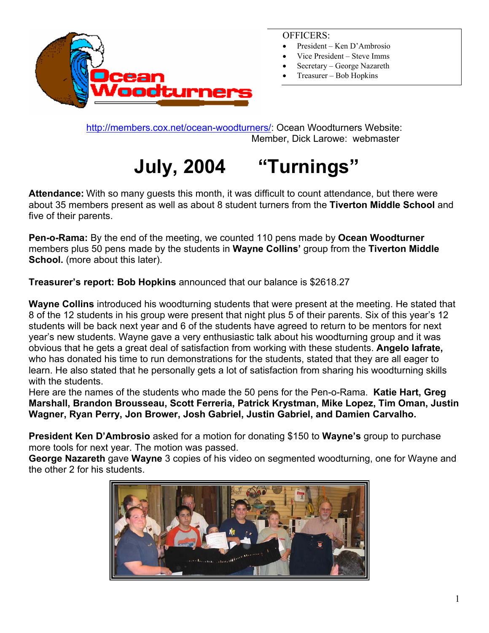

#### OFFICERS:

- President Ken D'Ambrosio
- Vice President Steve Imms
- Secretary George Nazareth
- Treasurer Bob Hopkins

[http://members.cox.net/ocean-woodturners/:](http://members.cox.net/ocean-woodturners/) Ocean Woodturners Website: Member, Dick Larowe: webmaster

# **July, 2004 "Turnings"**

**Attendance:** With so many guests this month, it was difficult to count attendance, but there were about 35 members present as well as about 8 student turners from the **Tiverton Middle School** and five of their parents.

**Pen-o-Rama:** By the end of the meeting, we counted 110 pens made by **Ocean Woodturner** members plus 50 pens made by the students in **Wayne Collins'** group from the **Tiverton Middle School.** (more about this later).

**Treasurer's report: Bob Hopkins** announced that our balance is \$2618.27

**Wayne Collins** introduced his woodturning students that were present at the meeting. He stated that 8 of the 12 students in his group were present that night plus 5 of their parents. Six of this year's 12 students will be back next year and 6 of the students have agreed to return to be mentors for next year's new students. Wayne gave a very enthusiastic talk about his woodturning group and it was obvious that he gets a great deal of satisfaction from working with these students. **Angelo Iafrate,** who has donated his time to run demonstrations for the students, stated that they are all eager to learn. He also stated that he personally gets a lot of satisfaction from sharing his woodturning skills with the students.

Here are the names of the students who made the 50 pens for the Pen-o-Rama. **Katie Hart, Greg Marshall, Brandon Brousseau, Scott Ferreria, Patrick Krystman, Mike Lopez, Tim Oman, Justin Wagner, Ryan Perry, Jon Brower, Josh Gabriel, Justin Gabriel, and Damien Carvalho.**

**President Ken D'Ambrosio** asked for a motion for donating \$150 to **Wayne's** group to purchase more tools for next year. The motion was passed.

**George Nazareth** gave **Wayne** 3 copies of his video on segmented woodturning, one for Wayne and the other 2 for his students.

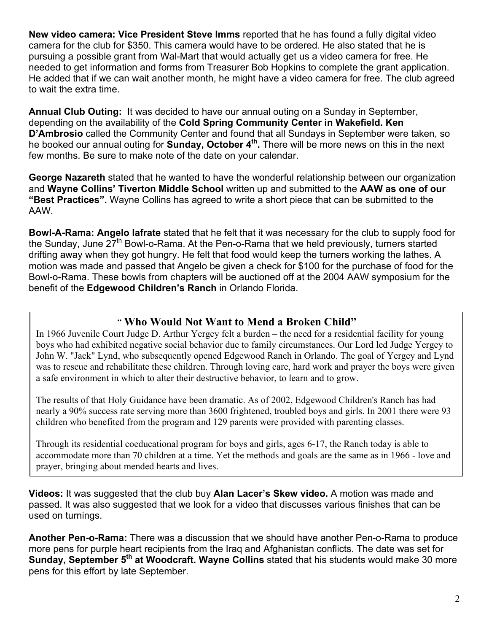**New video camera: Vice President Steve Imms** reported that he has found a fully digital video camera for the club for \$350. This camera would have to be ordered. He also stated that he is pursuing a possible grant from Wal-Mart that would actually get us a video camera for free. He needed to get information and forms from Treasurer Bob Hopkins to complete the grant application. He added that if we can wait another month, he might have a video camera for free. The club agreed to wait the extra time.

**Annual Club Outing:** It was decided to have our annual outing on a Sunday in September, depending on the availability of the **Cold Spring Community Center in Wakefield. Ken D'Ambrosio** called the Community Center and found that all Sundays in September were taken, so he booked our annual outing for **Sunday, October 4th.** There will be more news on this in the next few months. Be sure to make note of the date on your calendar.

**George Nazareth** stated that he wanted to have the wonderful relationship between our organization and **Wayne Collins' Tiverton Middle School** written up and submitted to the **AAW as one of our "Best Practices".** Wayne Collins has agreed to write a short piece that can be submitted to the AAW.

**Bowl-A-Rama: Angelo Iafrate** stated that he felt that it was necessary for the club to supply food for the Sunday, June  $27<sup>th</sup>$  Bowl-o-Rama. At the Pen-o-Rama that we held previously, turners started drifting away when they got hungry. He felt that food would keep the turners working the lathes. A motion was made and passed that Angelo be given a check for \$100 for the purchase of food for the Bowl-o-Rama. These bowls from chapters will be auctioned off at the 2004 AAW symposium for the benefit of the **Edgewood Children's Ranch** in Orlando Florida.

#### " **Who Would Not Want to Mend a Broken Child"**

In 1966 Juvenile Court Judge D. Arthur Yergey felt a burden – the need for a residential facility for young boys who had exhibited negative social behavior due to family circumstances. Our Lord led Judge Yergey to John W. "Jack" Lynd, who subsequently opened Edgewood Ranch in Orlando. The goal of Yergey and Lynd was to rescue and rehabilitate these children. Through loving care, hard work and prayer the boys were given a safe environment in which to alter their destructive behavior, to learn and to grow.

The results of that Holy Guidance have been dramatic. As of 2002, Edgewood Children's Ranch has had nearly a 90% success rate serving more than 3600 frightened, troubled boys and girls. In 2001 there were 93 children who benefited from the program and 129 parents were provided with parenting classes.

Through its residential coeducational program for boys and girls, ages 6-17, the Ranch today is able to accommodate more than 70 children at a time. Yet the methods and goals are the same as in 1966 - love and prayer, bringing about mended hearts and lives.

**Videos:** It was suggested that the club buy **Alan Lacer's Skew video.** A motion was made and passed. It was also suggested that we look for a video that discusses various finishes that can be used on turnings.

**Another Pen-o-Rama:** There was a discussion that we should have another Pen-o-Rama to produce more pens for purple heart recipients from the Iraq and Afghanistan conflicts. The date was set for **Sunday, September 5<sup>th</sup> at Woodcraft. Wayne Collins** stated that his students would make 30 more pens for this effort by late September.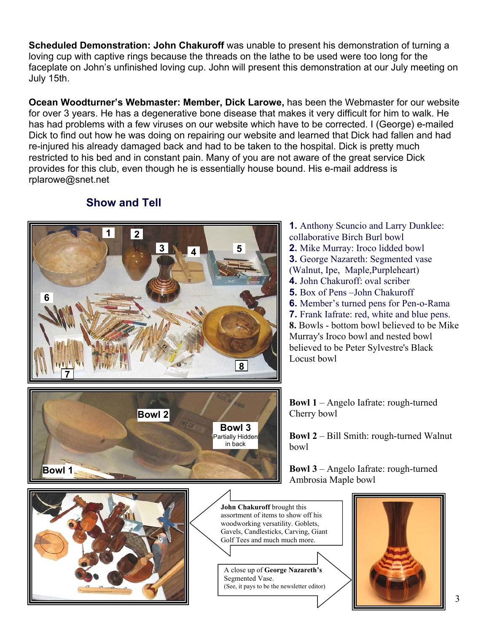**Scheduled Demonstration: John Chakuroff** was unable to present his demonstration of turning a loving cup with captive rings because the threads on the lathe to be used were too long for the faceplate on John's unfinished loving cup. John will present this demonstration at our July meeting on July 15th.

**Ocean Woodturner's Webmaster: Member, Dick Larowe,** has been the Webmaster for our website for over 3 years. He has a degenerative bone disease that makes it very difficult for him to walk. He has had problems with a few viruses on our website which have to be corrected. I (George) e-mailed Dick to find out how he was doing on repairing our website and learned that Dick had fallen and had re-injured his already damaged back and had to be taken to the hospital. Dick is pretty much restricted to his bed and in constant pain. Many of you are not aware of the great service Dick provides for this club, even though he is essentially house bound. His e-mail address is rplarowe@snet.net



### **Show and Tell**

Locust bowl **1.** Anthony Scuncio and Larry Dunklee: collaborative Birch Burl bowl **2.** Mike Murray: Iroco lidded bowl **3.** George Nazareth: Segmented vase (Walnut, Ipe, Maple,Purpleheart) **4.** John Chakuroff: oval scriber **5.** Box of Pens –John Chakuroff **6.** Member's turned pens for Pen-o-Rama **7.** Frank Iafrate: red, white and blue pens. **8.** Bowls - bottom bowl believed to be Mike Murray's Iroco bowl and nested bowl believed to be Peter Sylvestre's Black

**Bowl 1** – Angelo Iafrate: rough-turned Cherry bowl

**Bowl 2** – Bill Smith: rough-turned Walnut

**Bowl 3** – Angelo Iafrate: rough-turned Ambrosia Maple bowl